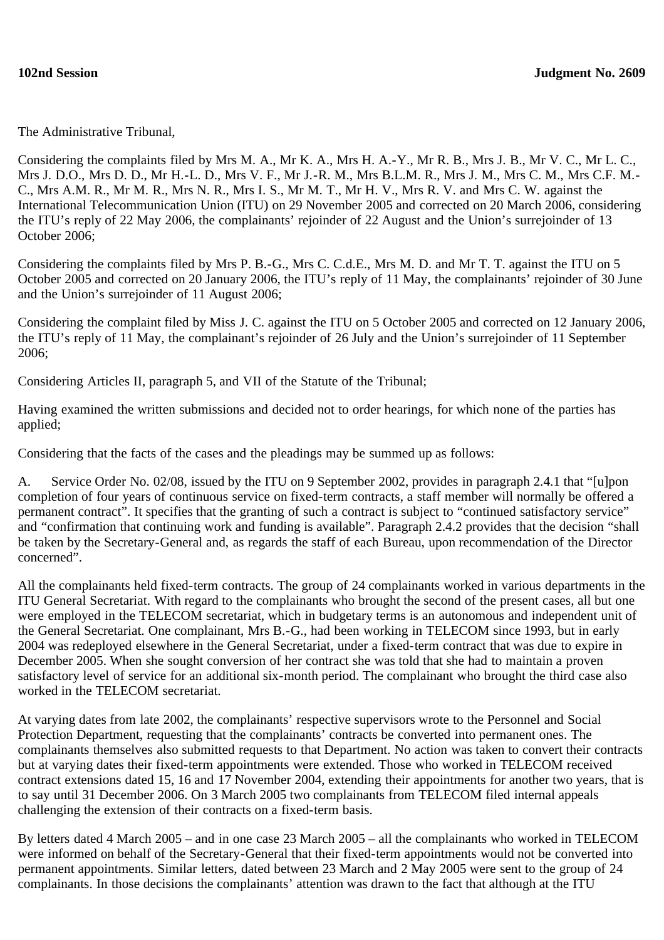The Administrative Tribunal,

Considering the complaints filed by Mrs M. A., Mr K. A., Mrs H. A.-Y., Mr R. B., Mrs J. B., Mr V. C., Mr L. C., Mrs J. D.O., Mrs D. D., Mr H.-L. D., Mrs V. F., Mr J.-R. M., Mrs B.L.M. R., Mrs J. M., Mrs C. M., Mrs C.F. M.- C., Mrs A.M. R., Mr M. R., Mrs N. R., Mrs I. S., Mr M. T., Mr H. V., Mrs R. V. and Mrs C. W. against the International Telecommunication Union (ITU) on 29 November 2005 and corrected on 20 March 2006, considering the ITU's reply of 22 May 2006, the complainants' rejoinder of 22 August and the Union's surrejoinder of 13 October 2006;

Considering the complaints filed by Mrs P. B.-G., Mrs C. C.d.E., Mrs M. D. and Mr T. T. against the ITU on 5 October 2005 and corrected on 20 January 2006, the ITU's reply of 11 May, the complainants' rejoinder of 30 June and the Union's surrejoinder of 11 August 2006;

Considering the complaint filed by Miss J. C. against the ITU on 5 October 2005 and corrected on 12 January 2006, the ITU's reply of 11 May, the complainant's rejoinder of 26 July and the Union's surrejoinder of 11 September 2006;

Considering Articles II, paragraph 5, and VII of the Statute of the Tribunal;

Having examined the written submissions and decided not to order hearings, for which none of the parties has applied;

Considering that the facts of the cases and the pleadings may be summed up as follows:

A. Service Order No. 02/08, issued by the ITU on 9 September 2002, provides in paragraph 2.4.1 that "[u]pon completion of four years of continuous service on fixed-term contracts, a staff member will normally be offered a permanent contract". It specifies that the granting of such a contract is subject to "continued satisfactory service" and "confirmation that continuing work and funding is available". Paragraph 2.4.2 provides that the decision "shall be taken by the Secretary-General and, as regards the staff of each Bureau, upon recommendation of the Director concerned".

All the complainants held fixed-term contracts. The group of 24 complainants worked in various departments in the ITU General Secretariat. With regard to the complainants who brought the second of the present cases, all but one were employed in the TELECOM secretariat, which in budgetary terms is an autonomous and independent unit of the General Secretariat. One complainant, Mrs B.-G., had been working in TELECOM since 1993, but in early 2004 was redeployed elsewhere in the General Secretariat, under a fixed-term contract that was due to expire in December 2005. When she sought conversion of her contract she was told that she had to maintain a proven satisfactory level of service for an additional six-month period. The complainant who brought the third case also worked in the TELECOM secretariat.

At varying dates from late 2002, the complainants' respective supervisors wrote to the Personnel and Social Protection Department, requesting that the complainants' contracts be converted into permanent ones. The complainants themselves also submitted requests to that Department. No action was taken to convert their contracts but at varying dates their fixed-term appointments were extended. Those who worked in TELECOM received contract extensions dated 15, 16 and 17 November 2004, extending their appointments for another two years, that is to say until 31 December 2006. On 3 March 2005 two complainants from TELECOM filed internal appeals challenging the extension of their contracts on a fixed-term basis.

By letters dated 4 March 2005 – and in one case 23 March 2005 – all the complainants who worked in TELECOM were informed on behalf of the Secretary-General that their fixed-term appointments would not be converted into permanent appointments. Similar letters, dated between 23 March and 2 May 2005 were sent to the group of 24 complainants. In those decisions the complainants' attention was drawn to the fact that although at the ITU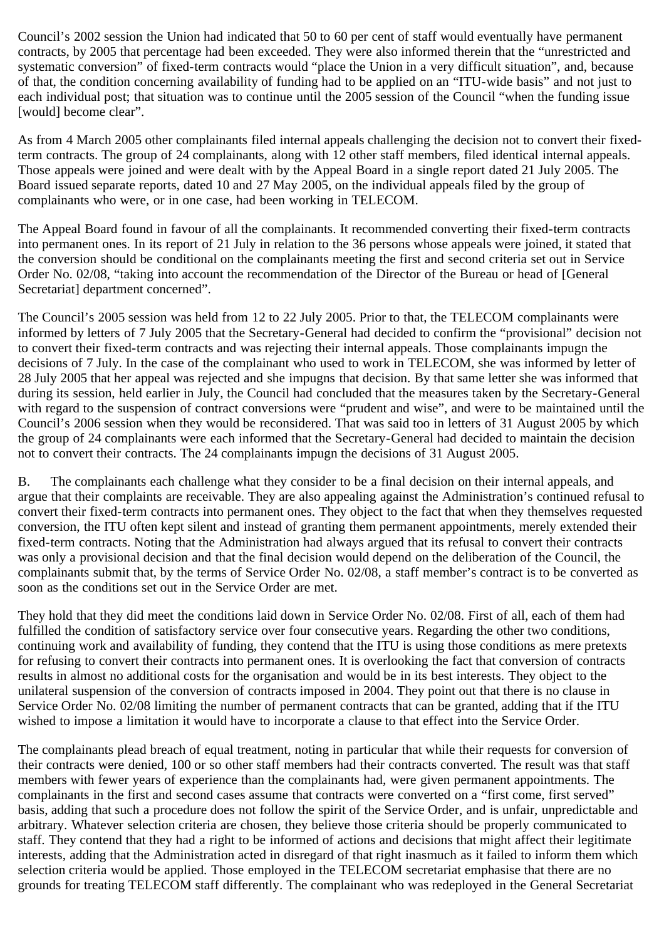Council's 2002 session the Union had indicated that 50 to 60 per cent of staff would eventually have permanent contracts, by 2005 that percentage had been exceeded. They were also informed therein that the "unrestricted and systematic conversion" of fixed-term contracts would "place the Union in a very difficult situation", and, because of that, the condition concerning availability of funding had to be applied on an "ITU-wide basis" and not just to each individual post; that situation was to continue until the 2005 session of the Council "when the funding issue [would] become clear".

As from 4 March 2005 other complainants filed internal appeals challenging the decision not to convert their fixedterm contracts. The group of 24 complainants, along with 12 other staff members, filed identical internal appeals. Those appeals were joined and were dealt with by the Appeal Board in a single report dated 21 July 2005. The Board issued separate reports, dated 10 and 27 May 2005, on the individual appeals filed by the group of complainants who were, or in one case, had been working in TELECOM.

The Appeal Board found in favour of all the complainants. It recommended converting their fixed-term contracts into permanent ones. In its report of 21 July in relation to the 36 persons whose appeals were joined, it stated that the conversion should be conditional on the complainants meeting the first and second criteria set out in Service Order No. 02/08, "taking into account the recommendation of the Director of the Bureau or head of [General Secretariat] department concerned".

The Council's 2005 session was held from 12 to 22 July 2005. Prior to that, the TELECOM complainants were informed by letters of 7 July 2005 that the Secretary-General had decided to confirm the "provisional" decision not to convert their fixed-term contracts and was rejecting their internal appeals. Those complainants impugn the decisions of 7 July. In the case of the complainant who used to work in TELECOM, she was informed by letter of 28 July 2005 that her appeal was rejected and she impugns that decision. By that same letter she was informed that during its session, held earlier in July, the Council had concluded that the measures taken by the Secretary-General with regard to the suspension of contract conversions were "prudent and wise", and were to be maintained until the Council's 2006 session when they would be reconsidered. That was said too in letters of 31 August 2005 by which the group of 24 complainants were each informed that the Secretary-General had decided to maintain the decision not to convert their contracts. The 24 complainants impugn the decisions of 31 August 2005.

B. The complainants each challenge what they consider to be a final decision on their internal appeals, and argue that their complaints are receivable. They are also appealing against the Administration's continued refusal to convert their fixed-term contracts into permanent ones. They object to the fact that when they themselves requested conversion, the ITU often kept silent and instead of granting them permanent appointments, merely extended their fixed-term contracts. Noting that the Administration had always argued that its refusal to convert their contracts was only a provisional decision and that the final decision would depend on the deliberation of the Council, the complainants submit that, by the terms of Service Order No. 02/08, a staff member's contract is to be converted as soon as the conditions set out in the Service Order are met.

They hold that they did meet the conditions laid down in Service Order No. 02/08. First of all, each of them had fulfilled the condition of satisfactory service over four consecutive years. Regarding the other two conditions, continuing work and availability of funding, they contend that the ITU is using those conditions as mere pretexts for refusing to convert their contracts into permanent ones. It is overlooking the fact that conversion of contracts results in almost no additional costs for the organisation and would be in its best interests. They object to the unilateral suspension of the conversion of contracts imposed in 2004. They point out that there is no clause in Service Order No. 02/08 limiting the number of permanent contracts that can be granted, adding that if the ITU wished to impose a limitation it would have to incorporate a clause to that effect into the Service Order.

The complainants plead breach of equal treatment, noting in particular that while their requests for conversion of their contracts were denied, 100 or so other staff members had their contracts converted. The result was that staff members with fewer years of experience than the complainants had, were given permanent appointments. The complainants in the first and second cases assume that contracts were converted on a "first come, first served" basis, adding that such a procedure does not follow the spirit of the Service Order, and is unfair, unpredictable and arbitrary. Whatever selection criteria are chosen, they believe those criteria should be properly communicated to staff. They contend that they had a right to be informed of actions and decisions that might affect their legitimate interests, adding that the Administration acted in disregard of that right inasmuch as it failed to inform them which selection criteria would be applied. Those employed in the TELECOM secretariat emphasise that there are no grounds for treating TELECOM staff differently. The complainant who was redeployed in the General Secretariat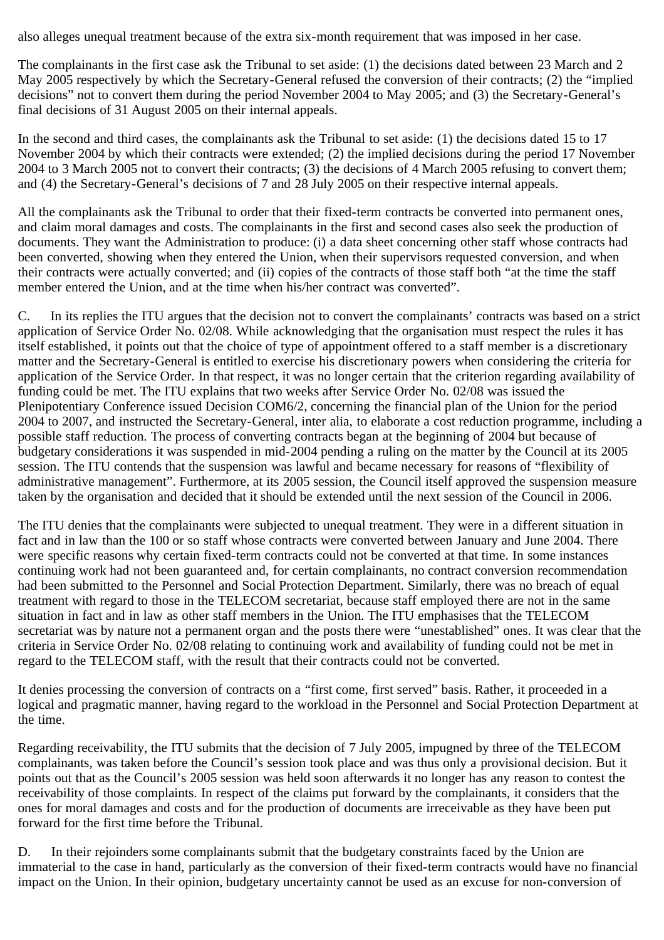also alleges unequal treatment because of the extra six-month requirement that was imposed in her case.

The complainants in the first case ask the Tribunal to set aside: (1) the decisions dated between 23 March and 2 May 2005 respectively by which the Secretary-General refused the conversion of their contracts; (2) the "implied decisions" not to convert them during the period November 2004 to May 2005; and (3) the Secretary-General's final decisions of 31 August 2005 on their internal appeals.

In the second and third cases, the complainants ask the Tribunal to set aside: (1) the decisions dated 15 to 17 November 2004 by which their contracts were extended; (2) the implied decisions during the period 17 November 2004 to 3 March 2005 not to convert their contracts; (3) the decisions of 4 March 2005 refusing to convert them; and (4) the Secretary-General's decisions of 7 and 28 July 2005 on their respective internal appeals.

All the complainants ask the Tribunal to order that their fixed-term contracts be converted into permanent ones, and claim moral damages and costs. The complainants in the first and second cases also seek the production of documents. They want the Administration to produce: (i) a data sheet concerning other staff whose contracts had been converted, showing when they entered the Union, when their supervisors requested conversion, and when their contracts were actually converted; and (ii) copies of the contracts of those staff both "at the time the staff member entered the Union, and at the time when his/her contract was converted".

C. In its replies the ITU argues that the decision not to convert the complainants' contracts was based on a strict application of Service Order No. 02/08. While acknowledging that the organisation must respect the rules it has itself established, it points out that the choice of type of appointment offered to a staff member is a discretionary matter and the Secretary-General is entitled to exercise his discretionary powers when considering the criteria for application of the Service Order. In that respect, it was no longer certain that the criterion regarding availability of funding could be met. The ITU explains that two weeks after Service Order No. 02/08 was issued the Plenipotentiary Conference issued Decision COM6/2, concerning the financial plan of the Union for the period 2004 to 2007, and instructed the Secretary-General, inter alia, to elaborate a cost reduction programme, including a possible staff reduction. The process of converting contracts began at the beginning of 2004 but because of budgetary considerations it was suspended in mid-2004 pending a ruling on the matter by the Council at its 2005 session. The ITU contends that the suspension was lawful and became necessary for reasons of "flexibility of administrative management". Furthermore, at its 2005 session, the Council itself approved the suspension measure taken by the organisation and decided that it should be extended until the next session of the Council in 2006.

The ITU denies that the complainants were subjected to unequal treatment. They were in a different situation in fact and in law than the 100 or so staff whose contracts were converted between January and June 2004. There were specific reasons why certain fixed-term contracts could not be converted at that time. In some instances continuing work had not been guaranteed and, for certain complainants, no contract conversion recommendation had been submitted to the Personnel and Social Protection Department. Similarly, there was no breach of equal treatment with regard to those in the TELECOM secretariat, because staff employed there are not in the same situation in fact and in law as other staff members in the Union. The ITU emphasises that the TELECOM secretariat was by nature not a permanent organ and the posts there were "unestablished" ones. It was clear that the criteria in Service Order No. 02/08 relating to continuing work and availability of funding could not be met in regard to the TELECOM staff, with the result that their contracts could not be converted.

It denies processing the conversion of contracts on a "first come, first served" basis. Rather, it proceeded in a logical and pragmatic manner, having regard to the workload in the Personnel and Social Protection Department at the time.

Regarding receivability, the ITU submits that the decision of 7 July 2005, impugned by three of the TELECOM complainants, was taken before the Council's session took place and was thus only a provisional decision. But it points out that as the Council's 2005 session was held soon afterwards it no longer has any reason to contest the receivability of those complaints. In respect of the claims put forward by the complainants, it considers that the ones for moral damages and costs and for the production of documents are irreceivable as they have been put forward for the first time before the Tribunal.

D. In their rejoinders some complainants submit that the budgetary constraints faced by the Union are immaterial to the case in hand, particularly as the conversion of their fixed-term contracts would have no financial impact on the Union. In their opinion, budgetary uncertainty cannot be used as an excuse for non-conversion of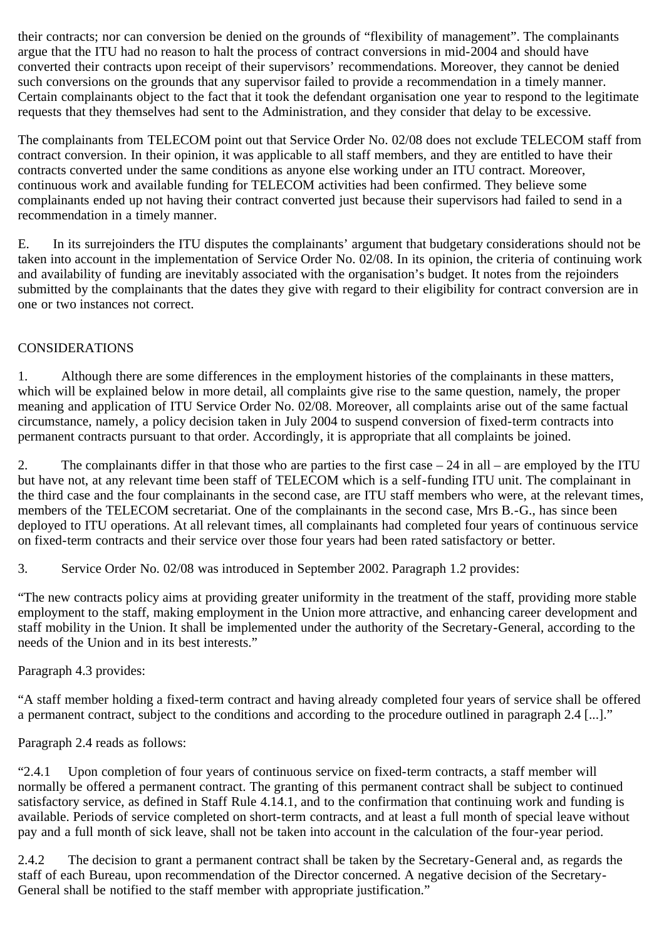their contracts; nor can conversion be denied on the grounds of "flexibility of management". The complainants argue that the ITU had no reason to halt the process of contract conversions in mid-2004 and should have converted their contracts upon receipt of their supervisors' recommendations. Moreover, they cannot be denied such conversions on the grounds that any supervisor failed to provide a recommendation in a timely manner. Certain complainants object to the fact that it took the defendant organisation one year to respond to the legitimate requests that they themselves had sent to the Administration, and they consider that delay to be excessive.

The complainants from TELECOM point out that Service Order No. 02/08 does not exclude TELECOM staff from contract conversion. In their opinion, it was applicable to all staff members, and they are entitled to have their contracts converted under the same conditions as anyone else working under an ITU contract. Moreover, continuous work and available funding for TELECOM activities had been confirmed. They believe some complainants ended up not having their contract converted just because their supervisors had failed to send in a recommendation in a timely manner.

E. In its surrejoinders the ITU disputes the complainants' argument that budgetary considerations should not be taken into account in the implementation of Service Order No. 02/08. In its opinion, the criteria of continuing work and availability of funding are inevitably associated with the organisation's budget. It notes from the rejoinders submitted by the complainants that the dates they give with regard to their eligibility for contract conversion are in one or two instances not correct.

## CONSIDERATIONS

1. Although there are some differences in the employment histories of the complainants in these matters, which will be explained below in more detail, all complaints give rise to the same question, namely, the proper meaning and application of ITU Service Order No. 02/08. Moreover, all complaints arise out of the same factual circumstance, namely, a policy decision taken in July 2004 to suspend conversion of fixed-term contracts into permanent contracts pursuant to that order. Accordingly, it is appropriate that all complaints be joined.

2. The complainants differ in that those who are parties to the first case – 24 in all – are employed by the ITU but have not, at any relevant time been staff of TELECOM which is a self-funding ITU unit. The complainant in the third case and the four complainants in the second case, are ITU staff members who were, at the relevant times, members of the TELECOM secretariat. One of the complainants in the second case, Mrs B.-G., has since been deployed to ITU operations. At all relevant times, all complainants had completed four years of continuous service on fixed-term contracts and their service over those four years had been rated satisfactory or better.

3. Service Order No. 02/08 was introduced in September 2002. Paragraph 1.2 provides:

"The new contracts policy aims at providing greater uniformity in the treatment of the staff, providing more stable employment to the staff, making employment in the Union more attractive, and enhancing career development and staff mobility in the Union. It shall be implemented under the authority of the Secretary-General, according to the needs of the Union and in its best interests."

## Paragraph 4.3 provides:

"A staff member holding a fixed-term contract and having already completed four years of service shall be offered a permanent contract, subject to the conditions and according to the procedure outlined in paragraph 2.4 [...]."

Paragraph 2.4 reads as follows:

"2.4.1 Upon completion of four years of continuous service on fixed-term contracts, a staff member will normally be offered a permanent contract. The granting of this permanent contract shall be subject to continued satisfactory service, as defined in Staff Rule 4.14.1, and to the confirmation that continuing work and funding is available. Periods of service completed on short-term contracts, and at least a full month of special leave without pay and a full month of sick leave, shall not be taken into account in the calculation of the four-year period.

2.4.2 The decision to grant a permanent contract shall be taken by the Secretary-General and, as regards the staff of each Bureau, upon recommendation of the Director concerned. A negative decision of the Secretary-General shall be notified to the staff member with appropriate justification."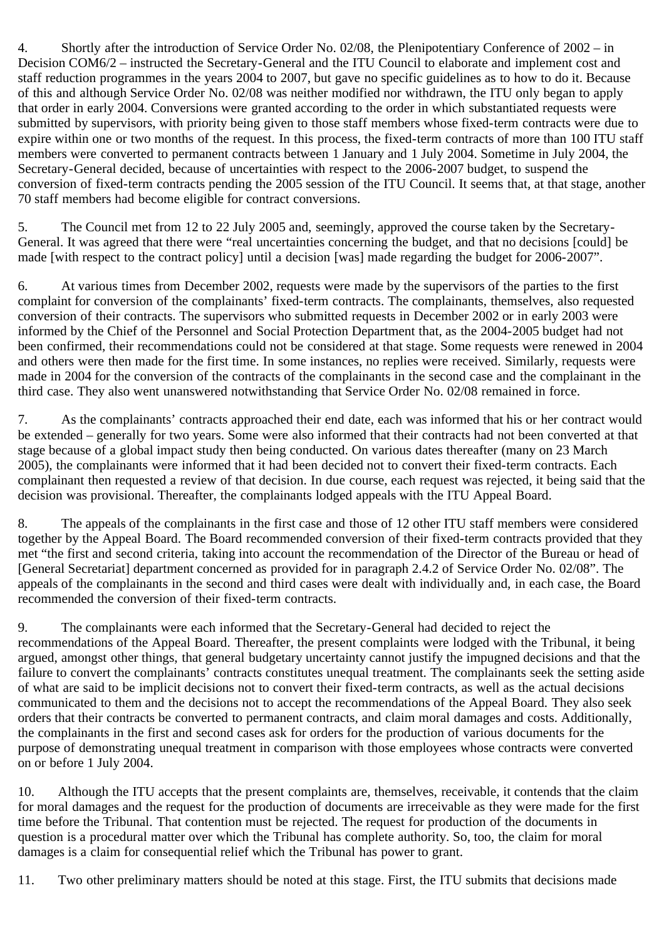4. Shortly after the introduction of Service Order No. 02/08, the Plenipotentiary Conference of 2002 – in Decision COM6/2 – instructed the Secretary-General and the ITU Council to elaborate and implement cost and staff reduction programmes in the years 2004 to 2007, but gave no specific guidelines as to how to do it. Because of this and although Service Order No. 02/08 was neither modified nor withdrawn, the ITU only began to apply that order in early 2004. Conversions were granted according to the order in which substantiated requests were submitted by supervisors, with priority being given to those staff members whose fixed-term contracts were due to expire within one or two months of the request. In this process, the fixed-term contracts of more than 100 ITU staff members were converted to permanent contracts between 1 January and 1 July 2004. Sometime in July 2004, the Secretary-General decided, because of uncertainties with respect to the 2006-2007 budget, to suspend the conversion of fixed-term contracts pending the 2005 session of the ITU Council. It seems that, at that stage, another 70 staff members had become eligible for contract conversions.

5. The Council met from 12 to 22 July 2005 and, seemingly, approved the course taken by the Secretary-General. It was agreed that there were "real uncertainties concerning the budget, and that no decisions [could] be made [with respect to the contract policy] until a decision [was] made regarding the budget for 2006-2007".

6. At various times from December 2002, requests were made by the supervisors of the parties to the first complaint for conversion of the complainants' fixed-term contracts. The complainants, themselves, also requested conversion of their contracts. The supervisors who submitted requests in December 2002 or in early 2003 were informed by the Chief of the Personnel and Social Protection Department that, as the 2004-2005 budget had not been confirmed, their recommendations could not be considered at that stage. Some requests were renewed in 2004 and others were then made for the first time. In some instances, no replies were received. Similarly, requests were made in 2004 for the conversion of the contracts of the complainants in the second case and the complainant in the third case. They also went unanswered notwithstanding that Service Order No. 02/08 remained in force.

7. As the complainants' contracts approached their end date, each was informed that his or her contract would be extended – generally for two years. Some were also informed that their contracts had not been converted at that stage because of a global impact study then being conducted. On various dates thereafter (many on 23 March 2005), the complainants were informed that it had been decided not to convert their fixed-term contracts. Each complainant then requested a review of that decision. In due course, each request was rejected, it being said that the decision was provisional. Thereafter, the complainants lodged appeals with the ITU Appeal Board.

8. The appeals of the complainants in the first case and those of 12 other ITU staff members were considered together by the Appeal Board. The Board recommended conversion of their fixed-term contracts provided that they met "the first and second criteria, taking into account the recommendation of the Director of the Bureau or head of [General Secretariat] department concerned as provided for in paragraph 2.4.2 of Service Order No. 02/08". The appeals of the complainants in the second and third cases were dealt with individually and, in each case, the Board recommended the conversion of their fixed-term contracts.

9. The complainants were each informed that the Secretary-General had decided to reject the recommendations of the Appeal Board. Thereafter, the present complaints were lodged with the Tribunal, it being argued, amongst other things, that general budgetary uncertainty cannot justify the impugned decisions and that the failure to convert the complainants' contracts constitutes unequal treatment. The complainants seek the setting aside of what are said to be implicit decisions not to convert their fixed-term contracts, as well as the actual decisions communicated to them and the decisions not to accept the recommendations of the Appeal Board. They also seek orders that their contracts be converted to permanent contracts, and claim moral damages and costs. Additionally, the complainants in the first and second cases ask for orders for the production of various documents for the purpose of demonstrating unequal treatment in comparison with those employees whose contracts were converted on or before 1 July 2004.

10. Although the ITU accepts that the present complaints are, themselves, receivable, it contends that the claim for moral damages and the request for the production of documents are irreceivable as they were made for the first time before the Tribunal. That contention must be rejected. The request for production of the documents in question is a procedural matter over which the Tribunal has complete authority. So, too, the claim for moral damages is a claim for consequential relief which the Tribunal has power to grant.

11. Two other preliminary matters should be noted at this stage. First, the ITU submits that decisions made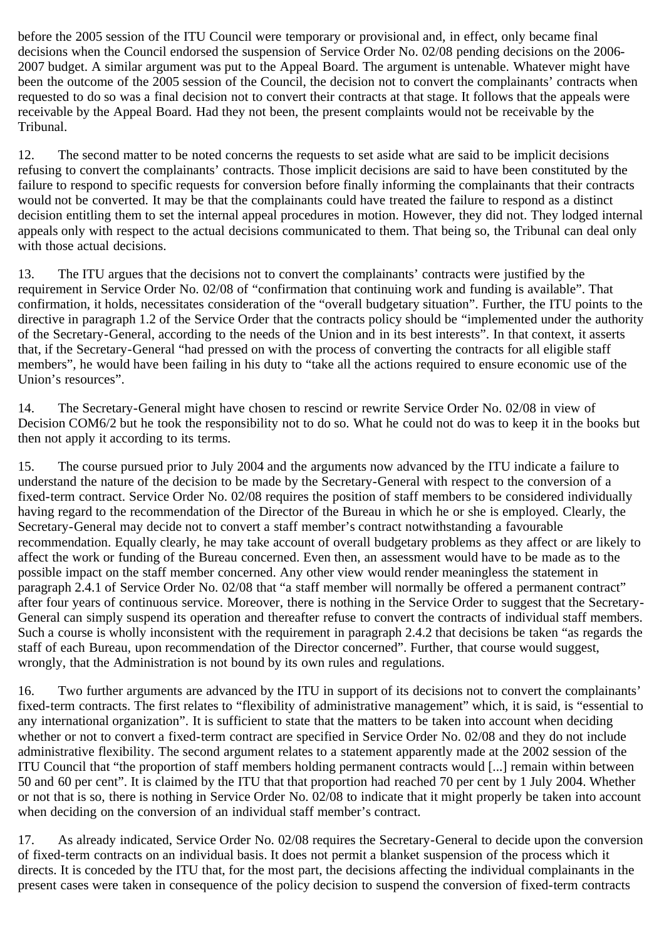before the 2005 session of the ITU Council were temporary or provisional and, in effect, only became final decisions when the Council endorsed the suspension of Service Order No. 02/08 pending decisions on the 2006- 2007 budget. A similar argument was put to the Appeal Board. The argument is untenable. Whatever might have been the outcome of the 2005 session of the Council, the decision not to convert the complainants' contracts when requested to do so was a final decision not to convert their contracts at that stage. It follows that the appeals were receivable by the Appeal Board. Had they not been, the present complaints would not be receivable by the Tribunal.

12. The second matter to be noted concerns the requests to set aside what are said to be implicit decisions refusing to convert the complainants' contracts. Those implicit decisions are said to have been constituted by the failure to respond to specific requests for conversion before finally informing the complainants that their contracts would not be converted. It may be that the complainants could have treated the failure to respond as a distinct decision entitling them to set the internal appeal procedures in motion. However, they did not. They lodged internal appeals only with respect to the actual decisions communicated to them. That being so, the Tribunal can deal only with those actual decisions.

13. The ITU argues that the decisions not to convert the complainants' contracts were justified by the requirement in Service Order No. 02/08 of "confirmation that continuing work and funding is available". That confirmation, it holds, necessitates consideration of the "overall budgetary situation". Further, the ITU points to the directive in paragraph 1.2 of the Service Order that the contracts policy should be "implemented under the authority of the Secretary-General, according to the needs of the Union and in its best interests". In that context, it asserts that, if the Secretary-General "had pressed on with the process of converting the contracts for all eligible staff members", he would have been failing in his duty to "take all the actions required to ensure economic use of the Union's resources".

14. The Secretary-General might have chosen to rescind or rewrite Service Order No. 02/08 in view of Decision COM6/2 but he took the responsibility not to do so. What he could not do was to keep it in the books but then not apply it according to its terms.

15. The course pursued prior to July 2004 and the arguments now advanced by the ITU indicate a failure to understand the nature of the decision to be made by the Secretary-General with respect to the conversion of a fixed-term contract. Service Order No. 02/08 requires the position of staff members to be considered individually having regard to the recommendation of the Director of the Bureau in which he or she is employed. Clearly, the Secretary-General may decide not to convert a staff member's contract notwithstanding a favourable recommendation. Equally clearly, he may take account of overall budgetary problems as they affect or are likely to affect the work or funding of the Bureau concerned. Even then, an assessment would have to be made as to the possible impact on the staff member concerned. Any other view would render meaningless the statement in paragraph 2.4.1 of Service Order No. 02/08 that "a staff member will normally be offered a permanent contract" after four years of continuous service. Moreover, there is nothing in the Service Order to suggest that the Secretary-General can simply suspend its operation and thereafter refuse to convert the contracts of individual staff members. Such a course is wholly inconsistent with the requirement in paragraph 2.4.2 that decisions be taken "as regards the staff of each Bureau, upon recommendation of the Director concerned". Further, that course would suggest, wrongly, that the Administration is not bound by its own rules and regulations.

16. Two further arguments are advanced by the ITU in support of its decisions not to convert the complainants' fixed-term contracts. The first relates to "flexibility of administrative management" which, it is said, is "essential to any international organization". It is sufficient to state that the matters to be taken into account when deciding whether or not to convert a fixed-term contract are specified in Service Order No. 02/08 and they do not include administrative flexibility. The second argument relates to a statement apparently made at the 2002 session of the ITU Council that "the proportion of staff members holding permanent contracts would [...] remain within between 50 and 60 per cent". It is claimed by the ITU that that proportion had reached 70 per cent by 1 July 2004. Whether or not that is so, there is nothing in Service Order No. 02/08 to indicate that it might properly be taken into account when deciding on the conversion of an individual staff member's contract.

17. As already indicated, Service Order No. 02/08 requires the Secretary-General to decide upon the conversion of fixed-term contracts on an individual basis. It does not permit a blanket suspension of the process which it directs. It is conceded by the ITU that, for the most part, the decisions affecting the individual complainants in the present cases were taken in consequence of the policy decision to suspend the conversion of fixed-term contracts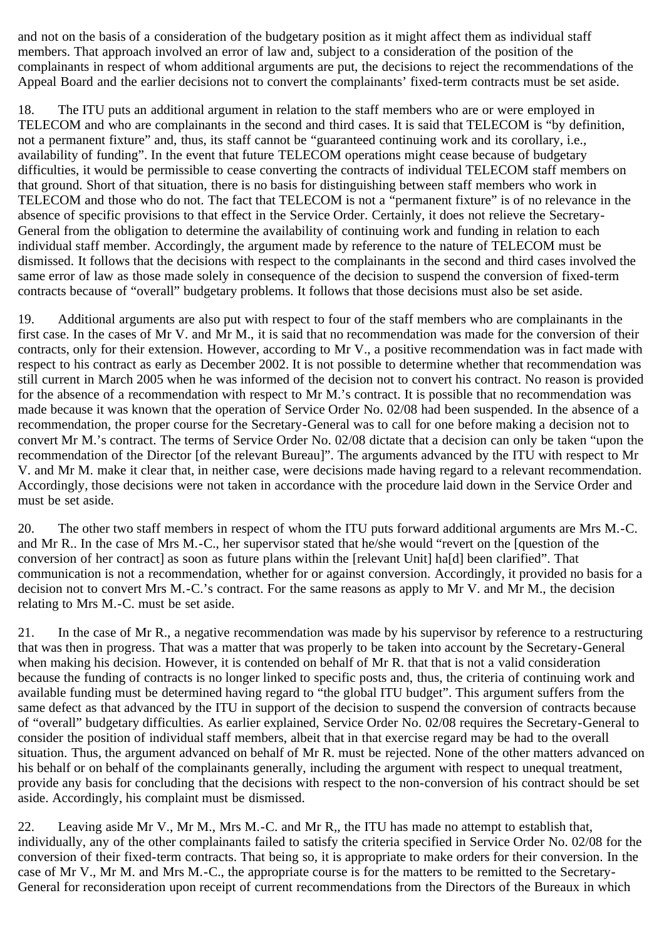and not on the basis of a consideration of the budgetary position as it might affect them as individual staff members. That approach involved an error of law and, subject to a consideration of the position of the complainants in respect of whom additional arguments are put, the decisions to reject the recommendations of the Appeal Board and the earlier decisions not to convert the complainants' fixed-term contracts must be set aside.

18. The ITU puts an additional argument in relation to the staff members who are or were employed in TELECOM and who are complainants in the second and third cases. It is said that TELECOM is "by definition, not a permanent fixture" and, thus, its staff cannot be "guaranteed continuing work and its corollary, i.e., availability of funding". In the event that future TELECOM operations might cease because of budgetary difficulties, it would be permissible to cease converting the contracts of individual TELECOM staff members on that ground. Short of that situation, there is no basis for distinguishing between staff members who work in TELECOM and those who do not. The fact that TELECOM is not a "permanent fixture" is of no relevance in the absence of specific provisions to that effect in the Service Order. Certainly, it does not relieve the Secretary-General from the obligation to determine the availability of continuing work and funding in relation to each individual staff member. Accordingly, the argument made by reference to the nature of TELECOM must be dismissed. It follows that the decisions with respect to the complainants in the second and third cases involved the same error of law as those made solely in consequence of the decision to suspend the conversion of fixed-term contracts because of "overall" budgetary problems. It follows that those decisions must also be set aside.

19. Additional arguments are also put with respect to four of the staff members who are complainants in the first case. In the cases of Mr V. and Mr M., it is said that no recommendation was made for the conversion of their contracts, only for their extension. However, according to Mr V., a positive recommendation was in fact made with respect to his contract as early as December 2002. It is not possible to determine whether that recommendation was still current in March 2005 when he was informed of the decision not to convert his contract. No reason is provided for the absence of a recommendation with respect to Mr M.'s contract. It is possible that no recommendation was made because it was known that the operation of Service Order No. 02/08 had been suspended. In the absence of a recommendation, the proper course for the Secretary-General was to call for one before making a decision not to convert Mr M.'s contract. The terms of Service Order No. 02/08 dictate that a decision can only be taken "upon the recommendation of the Director [of the relevant Bureau]". The arguments advanced by the ITU with respect to Mr V. and Mr M. make it clear that, in neither case, were decisions made having regard to a relevant recommendation. Accordingly, those decisions were not taken in accordance with the procedure laid down in the Service Order and must be set aside.

20. The other two staff members in respect of whom the ITU puts forward additional arguments are Mrs M.-C. and Mr R.. In the case of Mrs M.-C., her supervisor stated that he/she would "revert on the [question of the conversion of her contract] as soon as future plans within the [relevant Unit] ha[d] been clarified". That communication is not a recommendation, whether for or against conversion. Accordingly, it provided no basis for a decision not to convert Mrs M.-C.'s contract. For the same reasons as apply to Mr V. and Mr M., the decision relating to Mrs M.-C. must be set aside.

21. In the case of Mr R., a negative recommendation was made by his supervisor by reference to a restructuring that was then in progress. That was a matter that was properly to be taken into account by the Secretary-General when making his decision. However, it is contended on behalf of Mr R. that that is not a valid consideration because the funding of contracts is no longer linked to specific posts and, thus, the criteria of continuing work and available funding must be determined having regard to "the global ITU budget". This argument suffers from the same defect as that advanced by the ITU in support of the decision to suspend the conversion of contracts because of "overall" budgetary difficulties. As earlier explained, Service Order No. 02/08 requires the Secretary-General to consider the position of individual staff members, albeit that in that exercise regard may be had to the overall situation. Thus, the argument advanced on behalf of Mr R. must be rejected. None of the other matters advanced on his behalf or on behalf of the complainants generally, including the argument with respect to unequal treatment, provide any basis for concluding that the decisions with respect to the non-conversion of his contract should be set aside. Accordingly, his complaint must be dismissed.

22. Leaving aside Mr V., Mr M., Mrs M.-C. and Mr R,, the ITU has made no attempt to establish that, individually, any of the other complainants failed to satisfy the criteria specified in Service Order No. 02/08 for the conversion of their fixed-term contracts. That being so, it is appropriate to make orders for their conversion. In the case of Mr V., Mr M. and Mrs M.-C., the appropriate course is for the matters to be remitted to the Secretary-General for reconsideration upon receipt of current recommendations from the Directors of the Bureaux in which